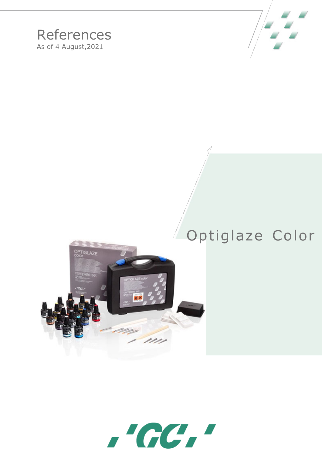

## References As of 4 August,2021

## Optiglaze Color



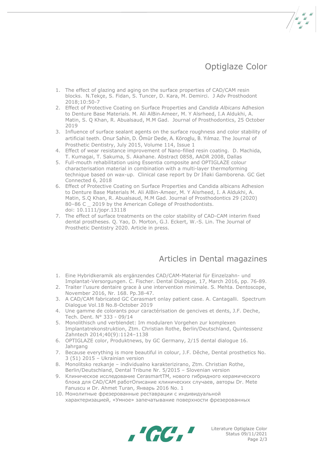## Optiglaze Color

- 1. The effect of glazing and aging on the surface properties of CAD/CAM resin blocks. N.Tekçe, S. Fidan, S. Tuncer, D. Kara, M. Demirci. J Adv Prosthodont 2018;10:50-7
- 2. Effect of Protective Coating on Surface Properties and *Candida Albicans* Adhesion to Denture Base Materials. M. Ali AlBin‐[Ameer, M](https://onlinelibrary.wiley.com/action/doSearch?ContribAuthorStored=AlBin-Ameer%2C+Mohammed+Ali). [Y Alsrheed, I](https://onlinelibrary.wiley.com/action/doSearch?ContribAuthorStored=Alsrheed%2C+Mahdi+Y)[.A Aldukhi,](https://onlinelibrary.wiley.com/action/doSearch?ContribAuthorStored=Aldukhi%2C+Ibrahim+A) [A.](https://onlinelibrary.wiley.com/action/doSearch?ContribAuthorStored=Matin%2C+Asif)  [Matin,](https://onlinelibrary.wiley.com/action/doSearch?ContribAuthorStored=Matin%2C+Asif) S. [Q Khan,](https://onlinelibrary.wiley.com/action/doSearch?ContribAuthorStored=Khan%2C+Soban+Q) R. [Abualsaud,](https://onlinelibrary.wiley.com/action/doSearch?ContribAuthorStored=Abualsaud%2C+Reem) [M.M Gad. J](https://onlinelibrary.wiley.com/action/doSearch?ContribAuthorStored=Gad%2C+Mohammed+M)ournal of Prosthodontics, 25 October 2019
- 3. Influence of surface sealant agents on the surface roughness and color stability of artificial teeth. Onur Sahin, D. Ömür Dede, A. Köroglu, B. Yılmaz. The Journal of Prosthetic Dentistry, July 2015, Volume 114, Issue 1
- 4. Effect of wear resistance improvement of Nano-filled resin coating. D. Machida, T. Kumagai, T. Sakuma, S. Akahane. Abstract 0858, AADR 2008, Dallas
- 5. Full-mouth rehabilitation using Essentia composite and OPTIGLAZE colour characterisation material in combination with a multi-layer thermoforming technique based on wax-up. Clinical case report by Dr Iñaki Gamborena. GC Get Connected 6, 2018
- 6. Effect of Protective Coating on Surface Properties and Candida albicans Adhesion to Denture Base Materials M. Ali AlBin-Ameer, M. Y Alsrheed, I. A Aldukhi, A. Matin, S.Q Khan, R. Abualsaud, M.M Gad. Journal of Prosthodontics 29 (2020) 80-86 C \_ 2019 by the American College of Prosthodontists. doi: 10.1111/jopr.13118
- 7. The effect of surface treatments on the color stability of CAD-CAM interim fixed dental prostheses. Q. Yao, D. Morton, G.J. Eckert, W.-S. Lin. The Journal of Prosthetic Dentistry 2020. Article in press.

## Articles in Dental magazines

- 1. Eine Hybridkeramik als ergänzendes CAD/CAM-Material für Einzelzahn- und Implantat-Versorgungen. C. Fischer. Dental Dialogue, 17, March 2016, pp. 76-89.
- 2. Traiter l'usure dentaire grace à une intervention minimale. S. Mehta. Dentoscope, November 2016, Nr. 168. Pp.38-47.
- 3. A CAD/CAM fabricated GC Cerasmart onlay patient case. A. Cantagalli. Spectrum Dialogue Vol.18 No.8-October 2019
- 4. Une gamme de colorants pour caractérisation de gencives et dents, J.F. Deche, Tech. Dent. N° 333 - 09/14
- 5. Monolithisch und verblendet: Im modularen Vorgehen zur komplexen Implantatrekonstruktion, Ztm. Christian Rothe, Berlin/Deutschland, Quintessenz Zahntech 2014;40(9):1124–1138
- 6. OPTIGLAZE color, Produktnews, by GC Germany, 2/15 dental dialogue 16. Jahrgang
- 7. Because everything is more beautiful in colour, J.F. Dêche, Dental prosthetics No. 3 (51) 2015 – Ukrainian version
- 8. Monolitsko rezkanje individualno karakterizirano, Ztm. Christian Rothe, Berlin/Deutschland, Dental Tribune Nr. 5/2015 – Slovenian version
- 9. Клиническое исследование CerasmartTM, нового гибридного керамического блока для CAD/CAM работОписание клинических случаев, авторы Dr. Mete Fanuscu и Dr. Ahmet Turan, Январь 2016 No. 1
- 10. Монолитные фрезерованные реставрации с индивидуальной характеризацией, «Умное» запечатывание поверхности фрезерованных